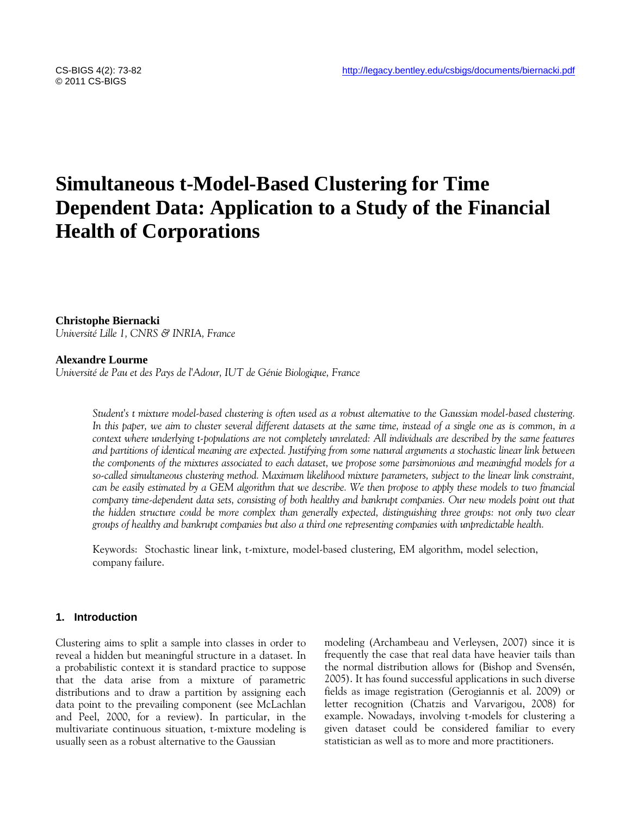# **Simultaneous t-Model-Based Clustering for Time Dependent Data: Application to a Study of the Financial Health of Corporations**

**Christophe Biernacki**

*Université Lille 1, CNRS & INRIA, France*

# **Alexandre Lourme**

*Université de Pau et des Pays de l'Adour, IUT de Génie Biologique, France*

*Student's t mixture model-based clustering is often used as a robust alternative to the Gaussian model-based clustering. In this paper, we aim to cluster several different datasets at the same time, instead of a single one as is common, in a context where underlying t-populations are not completely unrelated: All individuals are described by the same features and partitions of identical meaning are expected. Justifying from some natural arguments a stochastic linear link between the components of the mixtures associated to each dataset, we propose some parsimonious and meaningful models for a so-called simultaneous clustering method. Maximum likelihood mixture parameters, subject to the linear link constraint, can be easily estimated by a GEM algorithm that we describe. We then propose to apply these models to two financial company time-dependent data sets, consisting of both healthy and bankrupt companies. Our new models point out that the hidden structure could be more complex than generally expected, distinguishing three groups: not only two clear groups of healthy and bankrupt companies but also a third one representing companies with unpredictable health.*

Keywords: Stochastic linear link, t-mixture, model-based clustering, EM algorithm, model selection, company failure.

## **1. Introduction**

Clustering aims to split a sample into classes in order to reveal a hidden but meaningful structure in a dataset. In a probabilistic context it is standard practice to suppose that the data arise from a mixture of parametric distributions and to draw a partition by assigning each data point to the prevailing component (see McLachlan and Peel, 2000, for a review). In particular, in the multivariate continuous situation, t-mixture modeling is usually seen as a robust alternative to the Gaussian

modeling (Archambeau and Verleysen, 2007) since it is frequently the case that real data have heavier tails than the normal distribution allows for (Bishop and Svensén, 2005). It has found successful applications in such diverse fields as image registration (Gerogiannis et al. 2009) or letter recognition (Chatzis and Varvarigou, 2008) for example. Nowadays, involving t-models for clustering a given dataset could be considered familiar to every statistician as well as to more and more practitioners.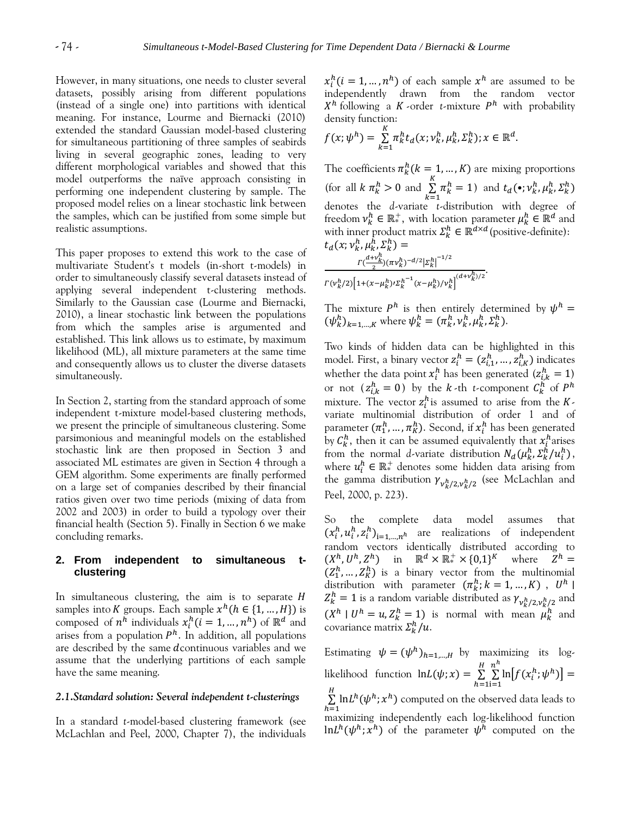However, in many situations, one needs to cluster several datasets, possibly arising from different populations (instead of a single one) into partitions with identical meaning. For instance, Lourme and Biernacki (2010) extended the standard Gaussian model-based clustering for simultaneous partitioning of three samples of seabirds living in several geographic zones, leading to very different morphological variables and showed that this model outperforms the naïve approach consisting in performing one independent clustering by sample. The proposed model relies on a linear stochastic link between the samples, which can be justified from some simple but realistic assumptions.

This paper proposes to extend this work to the case of multivariate Student's t models (in-short t-models) in order to simultaneously classify several datasets instead of applying several independent t-clustering methods. Similarly to the Gaussian case (Lourme and Biernacki, 2010), a linear stochastic link between the populations from which the samples arise is argumented and established. This link allows us to estimate, by maximum likelihood (ML), all mixture parameters at the same time and consequently allows us to cluster the diverse datasets simultaneously.

In Section 2, starting from the standard approach of some independent t-mixture model-based clustering methods, we present the principle of simultaneous clustering. Some parsimonious and meaningful models on the established stochastic link are then proposed in Section 3 and associated ML estimates are given in Section 4 through a GEM algorithm. Some experiments are finally performed on a large set of companies described by their financial ratios given over two time periods (mixing of data from 2002 and 2003) in order to build a typology over their financial health (Section 5). Finally in Section 6 we make concluding remarks.

## **2. From independent to simultaneous tclustering**

In simultaneous clustering, the aim is to separate  $H$ samples into K groups. Each sample  $x^h$  ( $h \in \{1, ..., H\}$ ) is composed of  $n^h$  individuals  $x_i^h$  ( $i = 1, ..., n^h$ ) of  $\mathbb{R}^d$  and arises from a population  $P<sup>h</sup>$ . In addition, all populations are described by the same dcontinuous variables and we assume that the underlying partitions of each sample have the same meaning.

# *2.1.Standard solution: Several independent t-clusterings*

In a standard *t*-model-based clustering framework (see McLachlan and Peel, 2000, Chapter 7), the individuals

 $x_i^h$ ( $i = 1, ..., n^h$ ) of each sample  $x^h$  are assumed to be independently drawn from the random vector  $X^h$  following a K-order *t*-mixture  $P^h$  with probability density function:

$$
f(x; \psi^h) = \sum_{k=1}^K \pi_k^h t_d(x; \nu_k^h, \mu_k^h, \Sigma_k^h); x \in \mathbb{R}^d.
$$

The coefficients  $\pi_k^h$  ( $k = 1, ..., K$ ) are mixing proportions (for all  $k \pi_k^h > 0$  and  $\boldsymbol{k}$  $\sum_{k}^{K} \pi_k^h = 1$ ) and  $t_d(\bullet; \nu_k^h, \mu_k^h, \Sigma_k^h)$ denotes the *d*-variate *t*-distribution with degree of freedom  $v_k^h \in \mathbb{R}^+$ , with location parameter  $\mu_k^h \in \mathbb{R}^d$  and with inner product matrix  $\Sigma_k^h \in \mathbb{R}^{d \times d}$  (positive-definite):  $t_d(x; v_k^h, \mu_k^h, \Sigma_k^h)$ h

$$
\frac{\Gamma(\frac{d+\nu_k^h}{2})(\pi\nu_k^h)^{-d/2}|\Sigma_k^h|^{-1/2}}{\Gamma(\nu_k^h/2)\Big[1+(\chi-\mu_k^h)/\Sigma_k^{h^{-1}}(\chi-\mu_k^h)/\nu_k^h\Big]^{(d+\nu_k^h)/2}}.
$$

The mixture  $P^h$  is then entirely determined by  $\psi^h$  $(\psi_k^h)_{k=1,\dots,K}$  where  $\psi_k^h = (\pi_k^h, \nu_k^h, \mu_k^h, \Sigma_k^h)$ .

Two kinds of hidden data can be highlighted in this model. First, a binary vector  $z_i^h = (z_{i,1}^h, ..., z_{i,K}^h)$  indicates whether the data point  $x_i^h$  has been generated  $(z_{i,k}^h = 1)$ or not  $(z_{i,k}^h = 0)$  by the *k*-th *t*-component  $C_k^h$  of  $P^h$ mixture. The vector  $z_i^h$  is assumed to arise from the Kvariate multinomial distribution of order 1 and of parameter  $(\pi_1^h, ..., \pi_K^h)$ . Second, if  $x_i^h$  has been generated by  $C_k^h$ , then it can be assumed equivalently that  $x_i^h$ arises from the normal *d*-variate distribution  $N_d(\mu_k^h, \Sigma_k^h/u_i^h)$ , where  $u_i^h \in \mathbb{R}^+$  denotes some hidden data arising from the gamma distribution  $\gamma_{v_k^h/2,v_k^h/2}$  (see McLachlan and Peel, 2000, p. 223).

So the complete data model assumes that  $(x_i^h, u_i^h, z_i^h)_{i=1}$   $n^h$  are realizations of independent random vectors identically distributed according to  $(X^h, U^h, Z^h)$  in  $\mathbb{R}^d \times \mathbb{R}^+ \times \{0,1\}^K$  where  $Z^h$  $(Z_1^h, ..., Z_K^h)$  is a binary vector from the multinomial distribution with parameter  $(\pi_k^h; k = 1, ..., K)$ ,  $U^h$  |  $Z_k^h = 1$  is a random variable distributed as  $\gamma_{v_k^h/2,v_k^h/2}$  and  $(X^h \mid U^h = u, Z^h \mid X^h = 1)$  is normal with mean  $\mu_k^h$  and covariance matrix  $\sum_k^h/u$ .

Estimating  $\psi = (\psi^h)_{h=1,\dots,H}$  by maximizing its loglikelihood function  $\ln L(\psi; x) = \frac{1}{h}$  $\sum_{n=1}^{H} \sum_{i=1}^{n}$  $n^h$  $\ln[f(x_i^h; \psi^h)]$  $\sum_{h=1}$  $\sum^H \ln L^h(\psi^h;x^h)$  computed on the observed data leads to maximizing independently each log-likelihood function  $\ln L^h(\psi^h; x^h)$  of the parameter  $\psi^h$  computed on the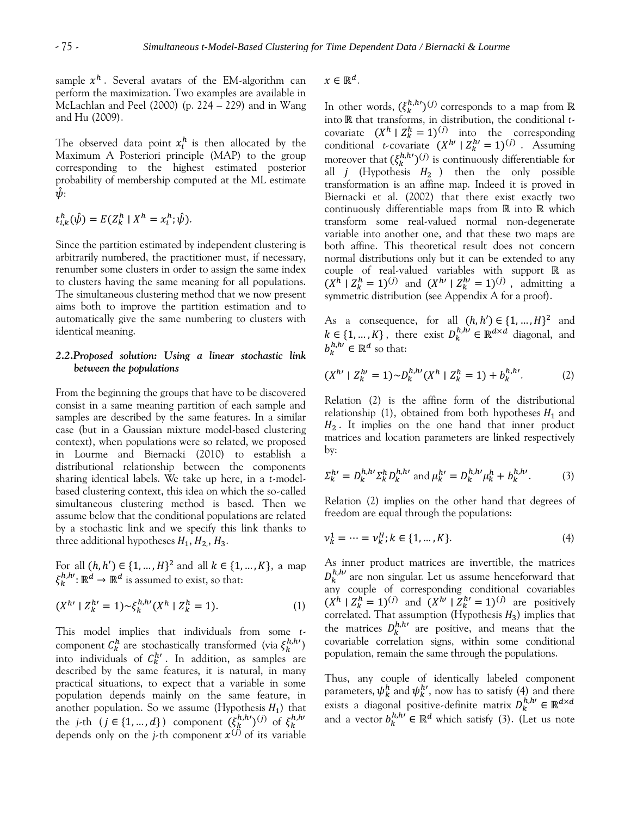sample  $x^h$  . Several avatars of the EM-algorithm can perform the maximization. Two examples are available in McLachlan and Peel (2000) (p. 224 – 229) and in Wang and Hu (2009).

The observed data point  $x_i^h$  is then allocated by the Maximum A Posteriori principle (MAP) to the group corresponding to the highest estimated posterior probability of membership computed at the ML estimate  $\psi$ :

$$
t_{i,k}^h(\hat{\psi}) = E(Z_k^h \mid X^h = x_i^h; \hat{\psi}).
$$

Since the partition estimated by independent clustering is arbitrarily numbered, the practitioner must, if necessary, renumber some clusters in order to assign the same index to clusters having the same meaning for all populations. The simultaneous clustering method that we now present aims both to improve the partition estimation and to automatically give the same numbering to clusters with identical meaning.

# *2.2.Proposed solution: Using a linear stochastic link between the populations*

From the beginning the groups that have to be discovered consist in a same meaning partition of each sample and samples are described by the same features. In a similar case (but in a Gaussian mixture model-based clustering context), when populations were so related, we proposed in Lourme and Biernacki (2010) to establish a distributional relationship between the components sharing identical labels. We take up here, in a *t*-modelbased clustering context, this idea on which the so-called simultaneous clustering method is based. Then we assume below that the conditional populations are related by a stochastic link and we specify this link thanks to three additional hypotheses  $H_1, H_2, H_3$ .

For all  $(h, h') \in \{1, ..., H\}^2$  and all  $k \in \{1, ..., K\}$ , a map  $\xi_k^{h,h}$ :  $\mathbb{R}^d \to \mathbb{R}^d$  is assumed to exist, so that:

$$
(X^{h} \mid Z_k^{h} = 1) \sim \xi_k^{h,h} (X^h \mid Z_k^h = 1). \tag{1}
$$

This model implies that individuals from some *t*component  $C_k^h$  are stochastically transformed (via  $\xi_k^{h,h}$ ) into individuals of  $C_k^{h}$ . In addition, as samples are described by the same features, it is natural, in many practical situations, to expect that a variable in some population depends mainly on the same feature, in another population. So we assume (Hypothesis  $H_1$ ) that the *j*-th  $(j \in \{1, ..., d\})$  component  $(\xi_k^{h,h'})^{(j)}$  of  $\xi_k^h$ depends only on the *j*-th component  $x^{(j)}$  of its variable  $x \in \mathbb{R}^d$ .

In other words,  $(\xi_k^{h,h})^{(j)}$  corresponds to a map from into that transforms, in distribution, the conditional *t*covariate  $(X^h | Z_k^h = 1)^{(j)}$  into the corresponding conditional *t*-covariate  $(X^{h} | Z_k^{h'} = 1)^{(j)}$ . Assuming moreover that  $(\xi_k^{h,h\prime})^{(j)}$  is continuously differentiable for all  $j$  (Hypothesis  $H_2$  ) then the only possible transformation is an affine map. Indeed it is proved in Biernacki et al. (2002) that there exist exactly two continuously differentiable maps from  $\mathbb R$  into  $\mathbb R$  which transform some real-valued normal non-degenerate variable into another one, and that these two maps are both affine. This theoretical result does not concern normal distributions only but it can be extended to any couple of real-valued variables with support  $\mathbb R$  as  $(X^h | Z^h = 1)^{(j)}$  and  $(X^{h'} | Z^{h'} = 1)^{(j)}$ , admitting a symmetric distribution (see Appendix A for a proof).

As a consequence, for all  $(h, h') \in \{1, ..., H\}^2$  and  $k \in \{1, ..., K\}$ , there exist  $D_k^{h,h} \in \mathbb{R}^{d \times d}$  diagonal, and  $b_k^{h,h} \in \mathbb{R}^d$  so that:

$$
(X^{h'} \mid Z_k^{h'} = 1) \sim D_k^{h,h'}(X^h \mid Z_k^h = 1) + b_k^{h,h'}.
$$
 (2)

Relation (2) is the affine form of the distributional relationship (1), obtained from both hypotheses  $H_1$  and  $H_2$ . It implies on the one hand that inner product matrices and location parameters are linked respectively by:

$$
\Sigma_k^{h'} = D_k^{h,h'} \Sigma_k^h D_k^{h,h'} \text{ and } \mu_k^{h'} = D_k^{h,h'} \mu_k^h + b_k^{h,h'}.
$$
 (3)

Relation (2) implies on the other hand that degrees of freedom are equal through the populations:

$$
\nu_k^1 = \dots = \nu_k^H; k \in \{1, \dots, K\}.
$$
\n(4)

As inner product matrices are invertible, the matrices  $D_{k}^{h,h}$  are non singular. Let us assume henceforward that any couple of corresponding conditional covariables  $(X^h | Z^h = 1)^{(j)}$  and  $(X^{h'} | Z^h = 1)^{(j)}$  are positively correlated. That assumption (Hypothesis  $H_3$ ) implies that the matrices  $D_k^{h,h}$  are positive, and means that the covariable correlation signs, within some conditional population, remain the same through the populations.

Thus, any couple of identically labeled component parameters,  $\psi^h_k$  and  $\psi^{h \prime}_k$ , now has to satisfy (4) and there exists a diagonal positive-definite matrix  $D_k^h$ and a vector  $b_k^{h,h} \in \mathbb{R}^d$  which satisfy (3). (Let us note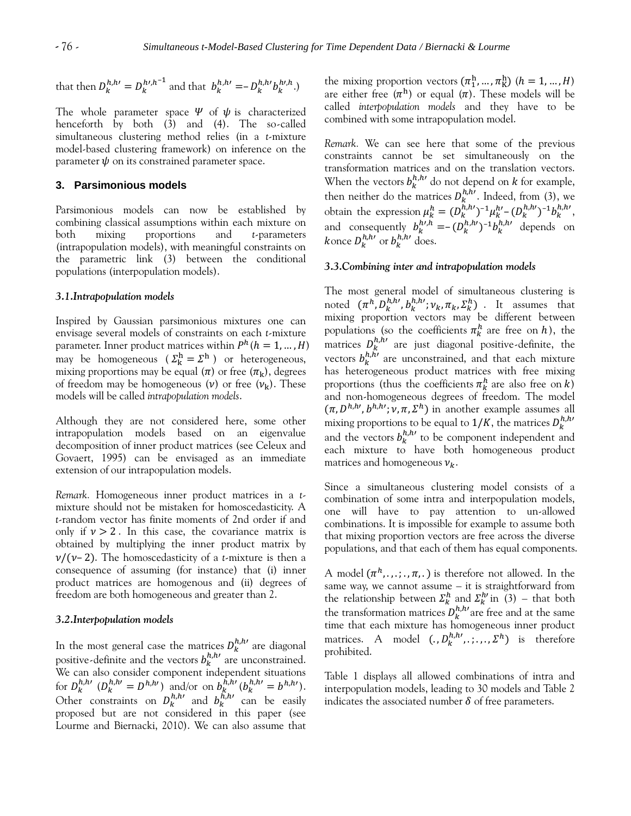that then  $D_k^{h,h} = D_k^{h,h^{-1}}$  and that  $b_k^{h,h} = -D_k^{h,h} b_k^{h,h}$ .

The whole parameter space  $\Psi$  of  $\psi$  is characterized henceforth by both (3) and (4). The so-called simultaneous clustering method relies (in a *t*-mixture model-based clustering framework) on inference on the parameter  $\psi$  on its constrained parameter space.

## **3. Parsimonious models**

Parsimonious models can now be established by combining classical assumptions within each mixture on both mixing proportions and *t*-parameters (intrapopulation models), with meaningful constraints on the parametric link (3) between the conditional populations (interpopulation models).

#### *3.1.Intrapopulation models*

Inspired by Gaussian parsimonious mixtures one can envisage several models of constraints on each *t*-mixture parameter. Inner product matrices within  $P^h (h = 1, ..., H)$ may be homogeneous ( $\Sigma_k^h = \Sigma^h$ ) or heterogeneous, mixing proportions may be equal  $(\pi)$  or free  $(\pi_k)$ , degrees of freedom may be homogeneous  $(v)$  or free  $(v_k)$ . These models will be called *intrapopulation models*.

Although they are not considered here, some other intrapopulation models based on an eigenvalue decomposition of inner product matrices (see Celeux and Govaert, 1995) can be envisaged as an immediate extension of our intrapopulation models.

*Remark.* Homogeneous inner product matrices in a *t*mixture should not be mistaken for homoscedasticity. A *t*-random vector has finite moments of 2nd order if and only if  $v > 2$ . In this case, the covariance matrix is obtained by multiplying the inner product matrix by  $\nu/(\nu-2)$ . The homoscedasticity of a *t*-mixture is then a consequence of assuming (for instance) that (i) inner product matrices are homogenous and (ii) degrees of freedom are both homogeneous and greater than 2.

#### *3.2.Interpopulation models*

In the most general case the matrices  $D_k^{h,h}$  are diagonal positive-definite and the vectors  $b_k^{h,h}$  are unconstrained. We can also consider component independent situations for  $D_k^{h,h}$   $(D_k^{h,h'} = D^{h,h'})$  and/or on  $b_k^{h,h'} (b_k^{h,h'} = b^{h,h'})$ . Other constraints on  $D_k^{h,h}$  and  $b_k^{h,h}$  can be easily proposed but are not considered in this paper (see Lourme and Biernacki, 2010). We can also assume that

the mixing proportion vectors  $(\pi_1^h, ..., \pi_K^h)$   $(h = 1, ..., H)$ are either free  $(\pi^h)$  or equal  $(\pi)$ . These models will be called *interpopulation models* and they have to be combined with some intrapopulation model.

*Remark.* We can see here that some of the previous constraints cannot be set simultaneously on the transformation matrices and on the translation vectors. When the vectors  $b_k^{h,h}$  do not depend on k for example, then neither do the matrices  $D_k^{h,h}$ . Indeed, from (3), we obtain the expression  $\mu_k^h = (D_k^{h,h})^{-1} \mu_k^{h} - (D_k^{h,h})^{-1} b_k^{h,h}$ , and consequently  $b_k^{h\prime,h} = -(D_k^{h,h\prime})^{-1}b_k^{h,h\prime}$  depends on konce  $D_k^{h,h}$  or  $b_k^{h,h}$  does.

#### *3.3.Combining inter and intrapopulation models*

The most general model of simultaneous clustering is noted  $(\pi^h, D_k^{h,h}, b_k^{h,h'}, \nu_k, \pi_k, \Sigma_k^h)$  . It assumes that mixing proportion vectors may be different between populations (so the coefficients  $\pi_k^h$  are free on h), the matrices  $D_k^{h,h}$  are just diagonal positive-definite, the vectors  $b_k^{h,h'}$  are unconstrained, and that each mixture has heterogeneous product matrices with free mixing proportions (thus the coefficients  $\pi_k^h$  are also free on k) and non-homogeneous degrees of freedom. The model  $(\pi, D^{h,h}, D^{h,h'}; \nu, \pi, \Sigma^h)$  in another example assumes all mixing proportions to be equal to  $1/K$ , the matrices  $D^h_k$ and the vectors  $b_k^{h,h}$  to be component independent and each mixture to have both homogeneous product matrices and homogeneous  $v_k$ .

Since a simultaneous clustering model consists of a combination of some intra and interpopulation models, one will have to pay attention to un-allowed combinations. It is impossible for example to assume both that mixing proportion vectors are free across the diverse populations, and that each of them has equal components.

A model  $(\pi^h, \ldots, \pi, \ldots)$  is therefore not allowed. In the same way, we cannot assume – it is straightforward from the relationship between  $\Sigma_k^h$  and  $\Sigma_k^{h'}$  in (3) – that both the transformation matrices  $D_k^{h,h \prime}$  are free and at the same time that each mixture has homogeneous inner product matrices. A model  $(.,D_k^{h,h},.,\ldots,\Sigma^h)$  is therefore prohibited.

Table 1 displays all allowed combinations of intra and interpopulation models, leading to 30 models and Table 2 indicates the associated number  $\delta$  of free parameters.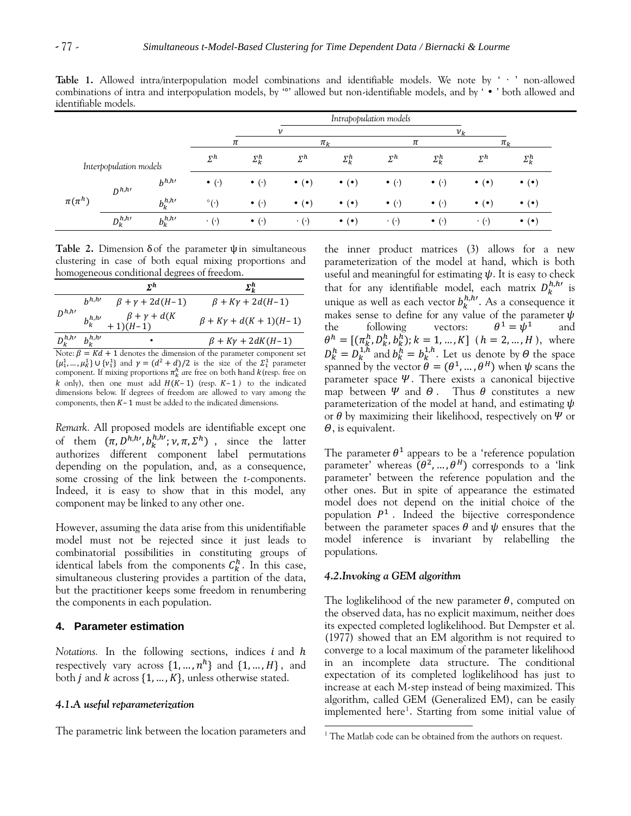**Table 1.** Allowed intra/interpopulation model combinations and identifiable models. We note by ' ∙ ' non-allowed combinations of intra and interpopulation models, by " allowed but non-identifiable models, and by ' • ' both allowed and identifiable models.

|              |                        |             | Intrapopulation models |                       |                         |                         |                       |                       |                         |                         |
|--------------|------------------------|-------------|------------------------|-----------------------|-------------------------|-------------------------|-----------------------|-----------------------|-------------------------|-------------------------|
|              |                        |             |                        |                       | $\boldsymbol{\nu}$      |                         |                       |                       | $v_k$                   |                         |
|              |                        |             | $\pi_{k}$<br>π         |                       | π                       |                         | $\pi_{\nu}$           |                       |                         |                         |
|              | Interpopulation models |             | $\Sigma^h$             | $\Sigma_k^h$          | $\Sigma^h$              | $\Sigma_k^h$            | $\Sigma^h$            | $\Sigma_k^h$          | $\Sigma^h$              | $\Sigma_k^h$            |
| $\pi(\pi^h)$ | $D^{h,h}$              | $b^{h,h}$   | $\bullet$ ( $\cdot$ )  | $\bullet$ ( $\cdot$ ) | $\bullet$ ( $\bullet$ ) | $\bullet$ ( $\bullet$ ) | $\bullet$ $(\cdot)$   | $\bullet$ $(\cdot)$   | $\bullet$ ( $\bullet$ ) | $\bullet$ ( $\bullet$ ) |
|              |                        | $b_k^{h,h}$ | $\circ$ ( $\cdot$ )    | $\bullet$ ( $\cdot$ ) | $\bullet$ ( $\bullet$ ) | $\bullet$ ( $\bullet$ ) | $\bullet$ ( $\cdot$ ) | $\bullet$ ( $\cdot$ ) | $\bullet$ ( $\bullet$ ) | $\bullet$ ( $\bullet$ ) |
|              | $D^{h,h \prime}_k$     | $b_k^{h,h}$ | $\cdot$ ( $\cdot$ )    | $\bullet$ ( $\cdot$ ) | $\cdot$ ( $\cdot$ )     | $\bullet$ ( $\bullet$ ) | $\cdot$ ( $\cdot$ )   | $\bullet$ ( $\cdot$ ) | $\cdot$ ( $\cdot$ )     | $\bullet$ ( $\bullet$ ) |

Table 2. Dimension  $\delta$  of the parameter  $\psi$  in simultaneous clustering in case of both equal mixing proportions and homogeneous conditional degrees of freedom.

|                           |           | $\mathbf{r}$ h                                 | $\mathbf{\Sigma}^h_{\nu}$                                                   |
|---------------------------|-----------|------------------------------------------------|-----------------------------------------------------------------------------|
| $D^{h,h}$                 | $h^{h,h}$ | $\beta + \gamma + 2d(H-1)$                     | $\beta + K\gamma + 2d(H-1)$                                                 |
|                           |           | $b_k^{h,h}$ , $\beta + \gamma + d(K + 1)(H-1)$ | $\beta + K\gamma + d(K + 1)(H - 1)$                                         |
| $D_k^{h,h}$ , $b_k^{h,h}$ |           | $\bullet$                                      | $\beta + K\gamma + 2dK(H-1)$                                                |
|                           |           |                                                | Note: $\beta = Kd + 1$ denotes the dimension of the parameter component set |

 $\{\mu_1^1, \dots, \mu_k^1\}$  U  $\{\nu_1^1\}$  and  $\gamma = (d^2 + d)/2$  is the size of the  $\Sigma_1^1$  parameter component. If mixing proportions  $\pi_k^h$  are free on both hand  $k$  (resp. free on  $k$  only), then one must add  $H(K-1)$  (resp.  $K-1$ ) to the indicated dimensions below. If degrees of freedom are allowed to vary among the components, then  $K-1$  must be added to the indicated dimensions.

*Remark.* All proposed models are identifiable except one of them  $(\pi, D^{h,h}, b_k^{h,h'}; v, \pi, \Sigma^h)$ , since the latter authorizes different component label permutations depending on the population, and, as a consequence, some crossing of the link between the *t*-components. Indeed, it is easy to show that in this model, any component may be linked to any other one.

However, assuming the data arise from this unidentifiable model must not be rejected since it just leads to combinatorial possibilities in constituting groups of identical labels from the components  $C_k^h$ . In this case, simultaneous clustering provides a partition of the data, but the practitioner keeps some freedom in renumbering the components in each population.

## **4. Parameter estimation**

*Notations.* In the following sections, indices  $i$  and  $h$ respectively vary across  $\{1, ..., n^h\}$  and  $\{1, ..., H\}$ , and both *j* and *k* across  $\{1, ..., K\}$ , unless otherwise stated.

#### *4.1.A useful reparameterization*

The parametric link between the location parameters and

the inner product matrices (3) allows for a new parameterization of the model at hand, which is both useful and meaningful for estimating  $\psi$ . It is easy to check that for any identifiable model, each matrix  $D_k^{h,h}$  is unique as well as each vector  $b_k^{h,h}$ . As a consequence it makes sense to define for any value of the parameter the following vectors:  $1 - \frac{1}{2}h^1$ and  $\theta^h = [(\pi_k^h, D_k^h, b_k^h); k = 1, ..., K]$   $(h = 2, ..., H)$ , where  $D_k^h = D_k^{1,h}$  and  $b_k^h = b_k^{1,h}$ . Let us denote by  $\Theta$  the space spanned by the vector  $\hat{\theta} = (\theta^1, ..., \theta^H)$  when  $\psi$  scans the parameter space  $\Psi$ . There exists a canonical bijective map between  $\Psi$  and  $\Theta$ . Thus  $\theta$  constitutes a new parameterization of the model at hand, and estimating  $\psi$ or  $\theta$  by maximizing their likelihood, respectively on  $\Psi$  or  $\theta$ , is equivalent.

The parameter  $\theta^1$  appears to be a 'reference population parameter' whereas  $(\theta^2, ..., \theta^H)$  corresponds to a 'link parameter' between the reference population and the other ones. But in spite of appearance the estimated model does not depend on the initial choice of the population  $P^1$ . Indeed the bijective correspondence between the parameter spaces  $\theta$  and  $\psi$  ensures that the model inference is invariant by relabelling the populations.

## *4.2.Invoking a GEM algorithm*

l

The loglikelihood of the new parameter  $\theta$ , computed on the observed data, has no explicit maximum, neither does its expected completed loglikelihood. But Dempster et al. (1977) showed that an EM algorithm is not required to converge to a local maximum of the parameter likelihood in an incomplete data structure. The conditional expectation of its completed loglikelihood has just to increase at each M-step instead of being maximized. This algorithm, called GEM (Generalized EM), can be easily implemented here<sup>1</sup>. Starting from some initial value of

<sup>&</sup>lt;sup>1</sup> The Matlab code can be obtained from the authors on request.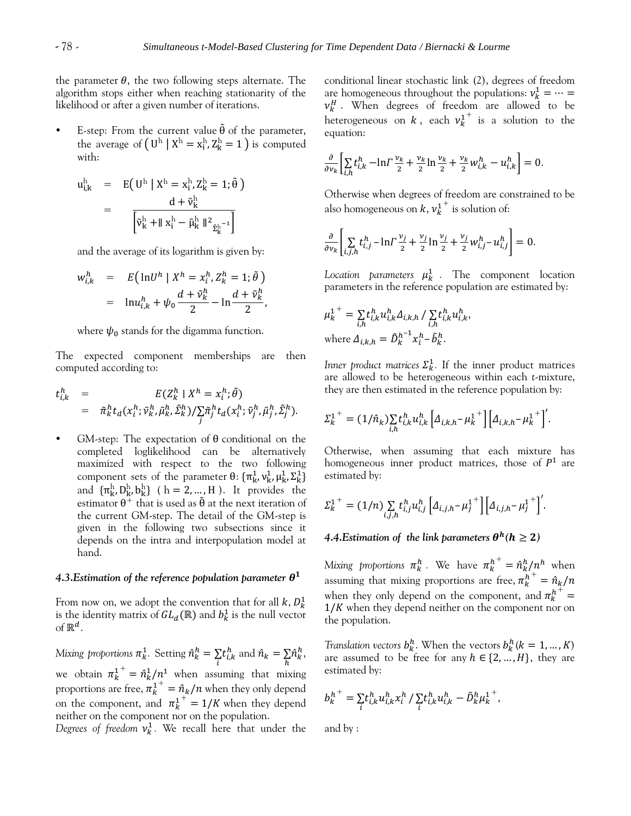the parameter  $\theta$ , the two following steps alternate. The algorithm stops either when reaching stationarity of the likelihood or after a given number of iterations.

E-step: From the current value  $\tilde{\theta}$  of the parameter, the average of  $(U^h | X^h = x^h_i, Z^h_k = 1)$  is computed with:

$$
u_{i,k}^{h} = E(U^{h} | X^{h} = x_{i}^{h}, Z_{k}^{h} = 1; \tilde{\theta})
$$
  
= 
$$
\frac{d + \tilde{v}_{k}^{h}}{\left[\tilde{v}_{k}^{h} + || x_{i}^{h} - \tilde{\mu}_{k}^{h} ||^{2} \tilde{z}_{k}^{h-1}\right]}
$$

and the average of its logarithm is given by:

$$
w_{i,k}^h = E\left(\ln U^h \mid X^h = x_i^h, Z_k^h = 1; \tilde{\theta}\right)
$$
  
= 
$$
\ln u_{i,k}^h + \psi_0 \frac{d + \tilde{\nu}_k^h}{2} - \ln \frac{d + \tilde{\nu}_k^h}{2},
$$

where  $\psi_0$  stands for the digamma function.

The expected component memberships are then computed according to:

$$
t^{h}_{i,k} = E(Z^{h}_{k} | X^{h} = x^{h}_{i}; \tilde{\theta})
$$
  
=  $\tilde{\pi}_{k}^{h} t_{d}(x^{h}_{i}; \tilde{\nu}_{k}^{h}, \tilde{\mu}_{k}^{h}, \tilde{\Sigma}_{k}^{h}) / \sum_{j} \tilde{\pi}_{j}^{h} t_{d}(x^{h}_{i}; \tilde{\nu}_{j}^{h}, \tilde{\mu}_{j}^{h}, \tilde{\Sigma}_{j}^{h}).$ 

GM-step: The expectation of  $\theta$  conditional on the completed loglikelihood can be alternatively maximized with respect to the two following component sets of the parameter  $\theta$ : { $\pi_k^1$ ,  $v_k^1$ ,  $\mu_k^1$ ,  $\Sigma_k^1$ } and  $\{\pi_{\mathbf{k}}^{\mathbf{h}}, \mathbf{D}_{\mathbf{k}}^{\mathbf{h}}, \mathbf{b}_{\mathbf{k}}^{\mathbf{h}}\}$  (  $\mathbf{h} = 2, ..., \mathbf{H}$  ). It provides the estimator  $\theta^+$  that is used as  $\tilde{\theta}$  at the next iteration of the current GM-step. The detail of the GM-step is given in the following two subsections since it depends on the intra and interpopulation model at hand.

# 4.3.Estimation of the reference population parameter  $\boldsymbol{\theta}^1$

From now on, we adopt the convention that for all  $k, D_k^1$ is the identity matrix of  $GL_d(\mathbb{R})$  and  $b_k^1$  is the null vector of  $\mathbb{R}^d$ .

Mixing proportions  $\pi_k^1$ . Setting  $\hat n_k^h$  $\sum\limits_{i}t_{i,k}^h$  and  $\sum\limits_{h}\!\hat{n}^h_k,$ we obtain  $\pi_k^{1^+} = \hat{n}_k^1/n^1$  when assuming that mixing proportions are free,  $\overline{n}_k^1 = \hat{n}_k/n$  when they only depend on the component, and  $\pi_k^1 = 1/K$  when they depend neither on the component nor on the population.

Degrees of freedom  $v_k^1$ . We recall here that under the

conditional linear stochastic link (2), degrees of freedom are homogeneous throughout the populations:  $\nu_k^1$  $v_k^H$ . When degrees of freedom are allowed to be heterogeneous on  $k$ , each  $v_k^{1^+}$  is a solution to the equation:

$$
\frac{\partial}{\partial v_k} \left[ \sum_{i,h} t_{i,k}^h - \ln \Gamma \frac{v_k}{2} + \frac{v_k}{2} \ln \frac{v_k}{2} + \frac{v_k}{2} w_{i,k}^h - u_{i,k}^h \right] = 0.
$$

Otherwise when degrees of freedom are constrained to be also homogeneous on  $k, v_k^{1^+}$  is solution of:

$$
\frac{\partial}{\partial v_k} \left[ \sum_{i,j,h} t_{i,j}^h - \ln \Gamma \frac{v_j}{2} + \frac{v_j}{2} \ln \frac{v_j}{2} + \frac{v_j}{2} w_{i,j}^h - u_{i,j}^h \right] = 0.
$$

Location parameters  $\mu_k^1$ . The component location parameters in the reference population are estimated by:

,

$$
\mu_k^{1^+} = \sum_{i,h} t_{i,k}^h u_{i,k}^h \Delta_{i,k,h} / \sum_{i,h} t_{i,k}^h u_{i,k}^h
$$
  
where  $\Delta_{i,k,h} = \tilde{D}_k^{h^{-1}} x_i^h \text{-} \tilde{b}_k^h$ .

*Inner product matrices*  $\Sigma_k^1$ . If the inner product matrices are allowed to be heterogeneous within each *t*-mixture, they are then estimated in the reference population by:

$$
\Sigma_{k}^{1}^{+} = (1/\hat{n}_{k}) \sum_{i,h} t_{i,k}^{h} u_{i,k}^{h} \left[ \Delta_{i,k,h} - \mu_{k}^{1}^{+} \right] \left[ \Delta_{i,k,h} - \mu_{k}^{1}^{+} \right]'
$$

Otherwise, when assuming that each mixture has homogeneous inner product matrices, those of  $P<sup>1</sup>$  are estimated by:

$$
\Sigma_{k}^{1^{+}} = (1/n) \sum_{i,j,h} t_{i,j}^{h} u_{i,j}^{h} \left[ \Delta_{i,j,h} - \mu_{j}^{1^{+}} \right] \left[ \Delta_{i,j,h} - \mu_{j}^{1^{+}} \right]'
$$

# 4.4.Estimation of the link parameters  $\boldsymbol{\theta}^h (h \geq 2)$

Mixing proportions  $\pi_k^h$ . We have  $\pi_k^{h^+} = \hat{n}_k^h/n^h$  when assuming that mixing proportions are free,  $\pi_k^{h^+}$  = when they only depend on the component, and  $\pi_k^{h^+}$  =  $1/K$  when they depend neither on the component nor on the population.

*Translation vectors*  $b_k^h$ . When the vectors  $b_k^h$  ( $k = 1, ..., K$ ) are assumed to be free for any  $h \in \{2, ..., H\}$ , they are estimated by:

$$
b_k^{h^+} = \sum_{i} t_{i,k}^h u_{i,k}^h x_i^h / \sum_{i} t_{i,k}^h u_{i,k}^h - \tilde{D}_k^h \mu_k^{1^+},
$$

and by :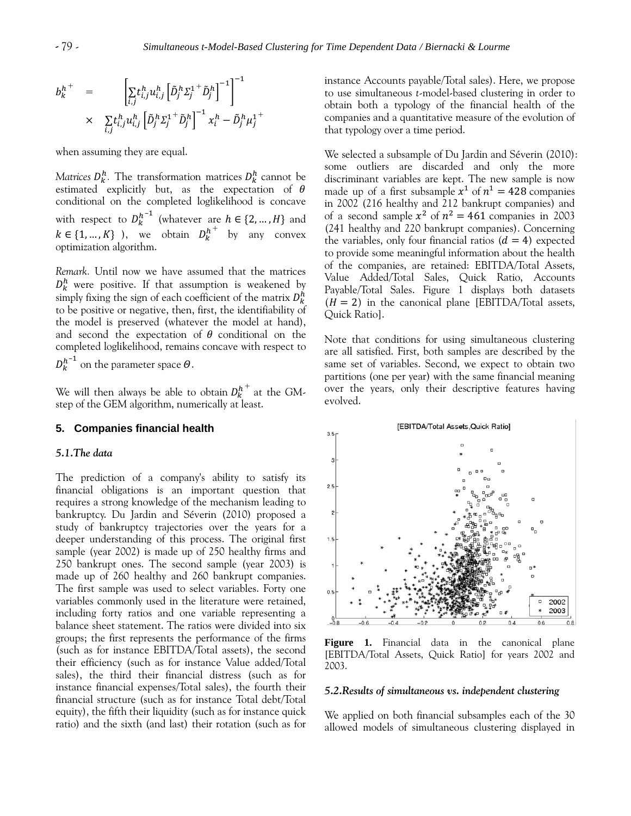$$
b_k^{h^+} = \left[ \sum_{i,j} t_{i,j}^h u_{i,j}^h \left[ \tilde{D}_j^h \Sigma_j^{1+} \tilde{D}_j^h \right]^{-1} \right]^{-1}
$$
  
 
$$
\times \sum_{i,j} t_{i,j}^h u_{i,j}^h \left[ \tilde{D}_j^h \Sigma_j^{1+} \tilde{D}_j^h \right]^{-1} x_i^h - \tilde{D}_j^h \mu_j^{1+}
$$

when assuming they are equal.

*Matrices*  $D_k^h$ . The transformation matrices  $D_k^h$  cannot be estimated explicitly but, as the expectation of conditional on the completed loglikelihood is concave with respect to  $D_k^{h^{-1}}$  (whatever are  $h \in \{2, ..., H\}$  and  $k \in \{1, ..., K\}$ ), we obtain  $D_k^{h^+}$  by any convex optimization algorithm.

*Remark.* Until now we have assumed that the matrices  $D_k^h$  were positive. If that assumption is weakened by simply fixing the sign of each coefficient of the matrix  $D^h_k$ to be positive or negative, then, first, the identifiability of the model is preserved (whatever the model at hand), and second the expectation of  $\theta$  conditional on the completed loglikelihood, remains concave with respect to

 $D_{k}^{h^{-1}}$  on the parameter space  $\theta.$ 

We will then always be able to obtain  $D_{k}^{h\pm}$  at the GMstep of the GEM algorithm, numerically at least.

## **5. Companies financial health**

#### *5.1.The data*

The prediction of a company's ability to satisfy its financial obligations is an important question that requires a strong knowledge of the mechanism leading to bankruptcy. Du Jardin and Séverin (2010) proposed a study of bankruptcy trajectories over the years for a deeper understanding of this process. The original first sample (year 2002) is made up of 250 healthy firms and 250 bankrupt ones. The second sample (year 2003) is made up of 260 healthy and 260 bankrupt companies. The first sample was used to select variables. Forty one variables commonly used in the literature were retained, including forty ratios and one variable representing a balance sheet statement. The ratios were divided into six groups; the first represents the performance of the firms (such as for instance EBITDA/Total assets), the second their efficiency (such as for instance Value added/Total sales), the third their financial distress (such as for instance financial expenses/Total sales), the fourth their financial structure (such as for instance Total debt/Total equity), the fifth their liquidity (such as for instance quick ratio) and the sixth (and last) their rotation (such as for instance Accounts payable/Total sales). Here, we propose to use simultaneous *t*-model-based clustering in order to obtain both a typology of the financial health of the companies and a quantitative measure of the evolution of that typology over a time period.

We selected a subsample of Du Jardin and Séverin (2010): some outliers are discarded and only the more discriminant variables are kept. The new sample is now made up of a first subsample  $x^1$  of  $n^1 = 428$  companies in 2002 (216 healthy and 212 bankrupt companies) and of a second sample  $x^2$  of  $n^2 = 461$  companies in 2003 (241 healthy and 220 bankrupt companies). Concerning the variables, only four financial ratios  $(d = 4)$  expected to provide some meaningful information about the health of the companies, are retained: EBITDA/Total Assets, Value Added/Total Sales, Quick Ratio, Accounts Payable/Total Sales. Figure 1 displays both datasets  $(H = 2)$  in the canonical plane [EBITDA/Total assets, Quick Ratio].

Note that conditions for using simultaneous clustering are all satisfied. First, both samples are described by the same set of variables. Second, we expect to obtain two partitions (one per year) with the same financial meaning over the years, only their descriptive features having evolved.



**Figure 1.** Financial data in the canonical plane [EBITDA/Total Assets, Quick Ratio] for years 2002 and 2003.

#### *5.2.Results of simultaneous vs. independent clustering*

We applied on both financial subsamples each of the 30 allowed models of simultaneous clustering displayed in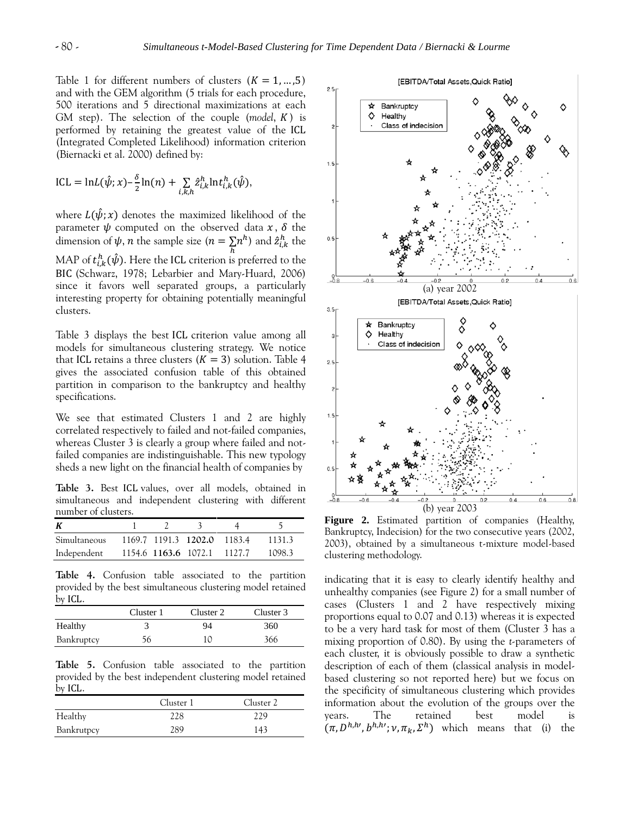Table 1 for different numbers of clusters  $(K = 1, ..., 5)$ and with the GEM algorithm (5 trials for each procedure, 500 iterations and 5 directional maximizations at each GM step). The selection of the couple  $(model, K)$  is performed by retaining the greatest value of the (Integrated Completed Likelihood) information criterion (Biernacki et al. 2000) defined by:

$$
ICL = \ln L(\hat{\psi}; x) - \frac{\delta}{2} \ln(n) + \sum_{i,k,h} \hat{z}_{i,k}^h \ln t_{i,k}^h(\hat{\psi}),
$$

where  $L(\hat{\psi}; x)$  denotes the maximized likelihood of the parameter  $\psi$  computed on the observed data  $x, \delta$  the dimension of  $\psi$ , *n* the sample size  $(n = \sum n^h)$  and  $\hat{z}_{i,k}^h$  the MAP of  $t_{i,k}^h(\hat{\psi})$ . Here the ICL criterion is preferred to the (Schwarz, 1978; Lebarbier and Mary-Huard, 2006) since it favors well separated groups, a particularly interesting property for obtaining potentially meaningful clusters.

Table 3 displays the best ICL criterion value among all models for simultaneous clustering strategy. We notice that ICL retains a three clusters  $(K = 3)$  solution. Table 4 gives the associated confusion table of this obtained partition in comparison to the bankruptcy and healthy specifications.

We see that estimated Clusters 1 and 2 are highly correlated respectively to failed and not-failed companies, whereas Cluster 3 is clearly a group where failed and notfailed companies are indistinguishable. This new typology sheds a new light on the financial health of companies by

Table 3. Best ICL values, over all models, obtained in simultaneous and independent clustering with different number of clusters.

| К                   |  |                             |        |
|---------------------|--|-----------------------------|--------|
| <b>Simultaneous</b> |  | 1169.7 1191.3 1202.0 1183.4 | 1131.3 |
| Independent         |  | 1154.6 1163.6 1072.1 1127.7 | 1098.3 |

**Table 4.** Confusion table associated to the partition provided by the best simultaneous clustering model retained  $by$  ICL.

|            | Cluster 1 | Cluster 2 | Cluster 3 |
|------------|-----------|-----------|-----------|
| Healthy    |           | 94        | 360       |
| Bankruptcy | 56        | 10        | 366       |

**Table 5.** Confusion table associated to the partition provided by the best independent clustering model retained by ICL.

|            | Cluster 1 | Cluster 2 |
|------------|-----------|-----------|
| Healthy    | 228       | າາ໑       |
| Bankrutpcy | 289       | 143       |



**Figure 2.** Estimated partition of companies (Healthy, Bankruptcy, Indecision) for the two consecutive years (2002, 2003), obtained by a simultaneous t-mixture model-based clustering methodology.

indicating that it is easy to clearly identify healthy and unhealthy companies (see Figure 2) for a small number of cases (Clusters 1 and 2 have respectively mixing proportions equal to 0.07 and 0.13) whereas it is expected to be a very hard task for most of them (Cluster 3 has a mixing proportion of 0.80). By using the *t-*parameters of each cluster, it is obviously possible to draw a synthetic description of each of them (classical analysis in modelbased clustering so not reported here) but we focus on the specificity of simultaneous clustering which provides information about the evolution of the groups over the years. The retained best model is  $(\pi, D^{h,h}, D^{h,h'}; \nu, \pi_k, \Sigma^h)$  which means that (i) the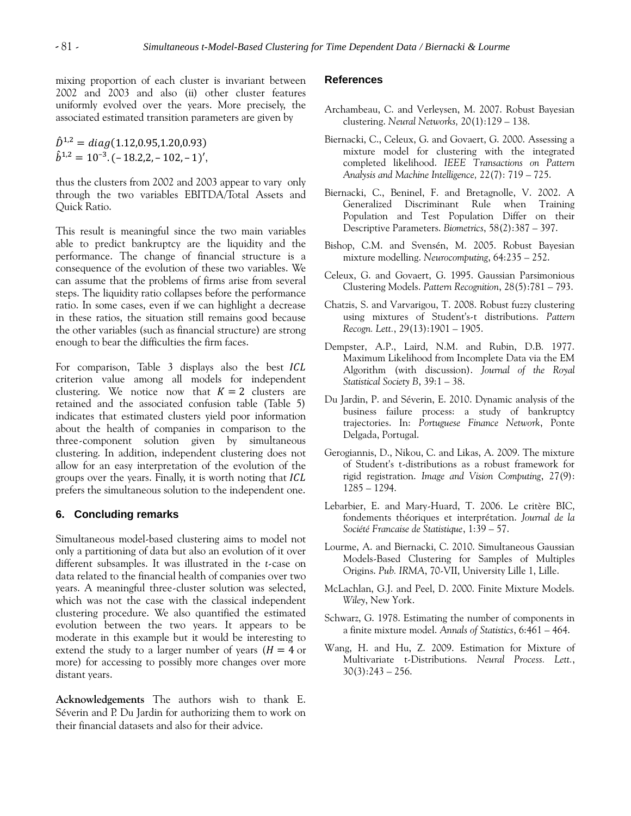mixing proportion of each cluster is invariant between 2002 and 2003 and also (ii) other cluster features uniformly evolved over the years. More precisely, the associated estimated transition parameters are given by

 $\hat{D}^{1,2} = diag(1.12, 0.95, 1.20, 0.93)$  $\hat{b}^{1,2} = 10^{-3}$ . (-18.2, 2, -102, -1)',

thus the clusters from 2002 and 2003 appear to vary only through the two variables EBITDA/Total Assets and Quick Ratio.

This result is meaningful since the two main variables able to predict bankruptcy are the liquidity and the performance. The change of financial structure is a consequence of the evolution of these two variables. We can assume that the problems of firms arise from several steps. The liquidity ratio collapses before the performance ratio. In some cases, even if we can highlight a decrease in these ratios, the situation still remains good because the other variables (such as financial structure) are strong enough to bear the difficulties the firm faces.

For comparison, Table 3 displays also the best ICL criterion value among all models for independent clustering. We notice now that  $K = 2$  clusters are retained and the associated confusion table (Table 5) indicates that estimated clusters yield poor information about the health of companies in comparison to the three-component solution given by simultaneous clustering. In addition, independent clustering does not allow for an easy interpretation of the evolution of the groups over the years. Finally, it is worth noting that *ICL* prefers the simultaneous solution to the independent one.

#### **6. Concluding remarks**

Simultaneous model-based clustering aims to model not only a partitioning of data but also an evolution of it over different subsamples. It was illustrated in the *t*-case on data related to the financial health of companies over two years. A meaningful three-cluster solution was selected, which was not the case with the classical independent clustering procedure. We also quantified the estimated evolution between the two years. It appears to be moderate in this example but it would be interesting to extend the study to a larger number of years  $(H = 4$  or more) for accessing to possibly more changes over more distant years.

**Acknowledgements** The authors wish to thank E. Séverin and P. Du Jardin for authorizing them to work on their financial datasets and also for their advice.

# **References**

- Archambeau, C. and Verleysen, M. 2007. Robust Bayesian clustering. *Neural Networks,* 20(1):129 – 138.
- Biernacki, C., Celeux, G. and Govaert, G. 2000. Assessing a mixture model for clustering with the integrated completed likelihood. *IEEE Transactions on Pattern Analysis and Machine Intelligence,* 22(7): 719 – 725.
- Biernacki, C., Beninel, F. and Bretagnolle, V. 2002. A Generalized Discriminant Rule when Training Population and Test Population Differ on their Descriptive Parameters. *Biometrics*, 58(2):387 – 397.
- Bishop, C.M. and Svensén, M. 2005. Robust Bayesian mixture modelling. *Neurocomputing*, 64:235 – 252.
- Celeux, G. and Govaert, G. 1995. Gaussian Parsimonious Clustering Models. *Pattern Recognition*, 28(5):781 – 793.
- Chatzis, S. and Varvarigou, T. 2008. Robust fuzzy clustering using mixtures of Student's-t distributions. *Pattern Recogn. Lett.*, 29(13):1901 – 1905.
- Dempster, A.P., Laird, N.M. and Rubin, D.B. 1977. Maximum Likelihood from Incomplete Data via the EM Algorithm (with discussion). *Journal of the Royal Statistical Society B*, 39:1 – 38.
- Du Jardin, P. and Séverin, E. 2010. Dynamic analysis of the business failure process: a study of bankruptcy trajectories. In: *Portuguese Finance Network*, Ponte Delgada, Portugal.
- Gerogiannis, D., Nikou, C. and Likas, A. 2009. The mixture of Student's t-distributions as a robust framework for rigid registration. *Image and Vision Computing*, 27(9): 1285 – 1294.
- Lebarbier, E. and Mary-Huard, T. 2006. Le critère BIC, fondements théoriques et interprétation. *Journal de la Société Francaise de Statistique*, 1:39 – 57.
- Lourme, A. and Biernacki, C. 2010. Simultaneous Gaussian Models-Based Clustering for Samples of Multiples Origins. *Pub. IRMA*, 70-VII, University Lille 1, Lille.
- McLachlan, G.J. and Peel, D. 2000. Finite Mixture Models. *Wiley*, New York.
- Schwarz, G. 1978. Estimating the number of components in a finite mixture model. *Annals of Statistics*, 6:461 – 464.
- Wang, H. and Hu, Z. 2009. Estimation for Mixture of Multivariate t-Distributions. *Neural Process. Lett.*,  $30(3):243 - 256.$